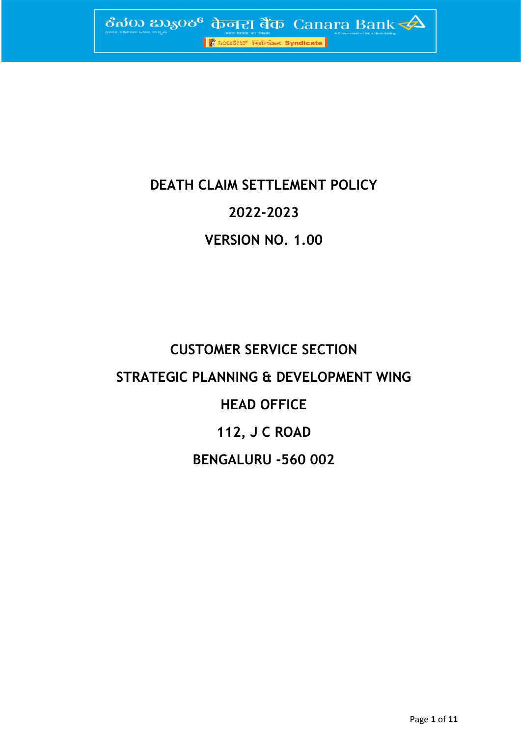

## **DEATH CLAIM SETTLEMENT POLICY**

## **2022-2023**

## **VERSION NO. 1.00**

# **CUSTOMER SERVICE SECTION STRATEGIC PLANNING & DEVELOPMENT WING HEAD OFFICE 112, J C ROAD BENGALURU -560 002**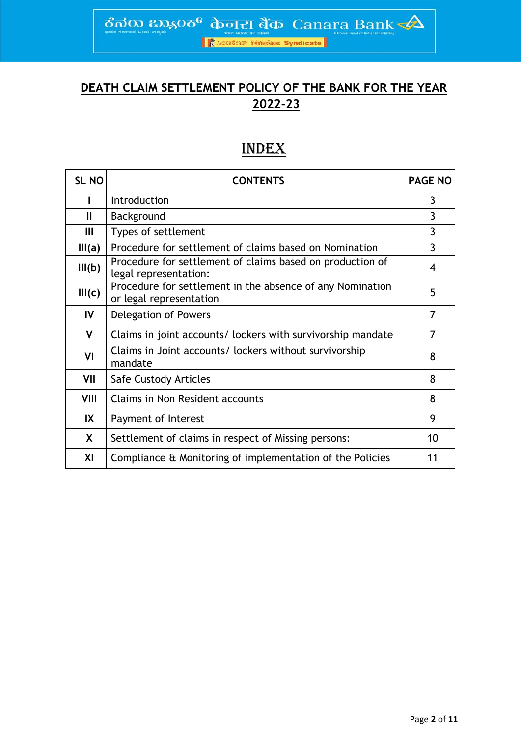ಕೆನರು ಬ್ಯಾಂಕ್ ф<del>ொ</del> ಶಿಥ Canara Bank

।<br>अन्निकेट Syndicate

## **DEATH CLAIM SETTLEMENT POLICY OF THE BANK FOR THE YEAR 2022-23**

## INDEX

| SL <sub>NO</sub> | <b>CONTENTS</b>                                                                      | <b>PAGE NO</b> |
|------------------|--------------------------------------------------------------------------------------|----------------|
|                  | Introduction                                                                         | 3              |
| Ш                | Background                                                                           | 3              |
| III              | Types of settlement                                                                  | 3              |
| III(a)           | Procedure for settlement of claims based on Nomination                               | 3              |
| III(b)           | Procedure for settlement of claims based on production of<br>legal representation:   | 4              |
| III(c)           | Procedure for settlement in the absence of any Nomination<br>or legal representation | 5              |
| IV               | Delegation of Powers                                                                 | $\overline{7}$ |
| V                | Claims in joint accounts/ lockers with survivorship mandate                          | 7              |
| VI               | Claims in Joint accounts/ lockers without survivorship<br>mandate                    | 8              |
| VII              | Safe Custody Articles                                                                | 8              |
| VIII             | Claims in Non Resident accounts                                                      | 8              |
| IX               | Payment of Interest                                                                  | 9              |
| X                | Settlement of claims in respect of Missing persons:                                  | 10             |
| XI               | Compliance & Monitoring of implementation of the Policies                            | 11             |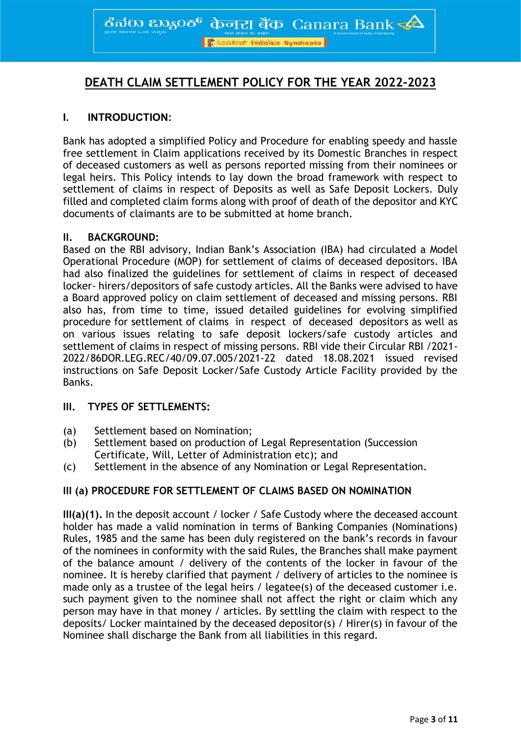ठैनॅक  $\infty$ इन्छ केनरा बैंक Canara Bank $\overline{\blacktriangle}$ 

<mark>।</mark> <mark>∦ै ಸಿಂಡಿಕೇಟ್ सिंडिकेट Syndicate</mark>

### **DEATH CLAIM SETTLEMENT POLICY FOR THE YEAR 2022-2023**

#### **I. INTRODUCTION:**

Bank has adopted a simplified Policy and Procedure for enabling speedy and hassle free settlement in Claim applications received by its Domestic Branches in respect of deceased customers as well as persons reported missing from their nominees or legal heirs. This Policy intends to lay down the broad framework with respect to settlement of claims in respect of Deposits as well as Safe Deposit Lockers. Duly filled and completed claim forms along with proof of death of the depositor and KYC documents of claimants are to be submitted at home branch.

#### **II. BACKGROUND:**

Based on the RBI advisory, Indian Bank's Association (IBA) had circulated a Model Operational Procedure (MOP) for settlement of claims of deceased depositors. IBA had also finalized the guidelines for settlement of claims in respect of deceased locker- hirers/depositors of safe custody articles. All the Banks were advised to have a Board approved policy on claim settlement of deceased and missing persons. RBI also has, from time to time, issued detailed guidelines for evolving simplified procedure for settlement of claims in respect of deceased depositors as well as on various issues relating to safe deposit lockers/safe custody articles and settlement of claims in respect of missing persons. RBI vide their Circular RBI /2021- 2022/86DOR.LEG.REC/40/09.07.005/2021-22 dated 18.08.2021 issued revised instructions on Safe Deposit Locker/Safe Custody Article Facility provided by the Banks.

#### **III. TYPES OF SETTLEMENTS:**

- (a) Settlement based on Nomination;
- (b) Settlement based on production of Legal Representation (Succession Certificate, Will, Letter of Administration etc); and
- (c) Settlement in the absence of any Nomination or Legal Representation.

#### **III (a) PROCEDURE FOR SETTLEMENT OF CLAIMS BASED ON NOMINATION**

**III(a)(1).** In the deposit account / locker / Safe Custody where the deceased account holder has made a valid nomination in terms of Banking Companies (Nominations) Rules, 1985 and the same has been duly registered on the bank's records in favour of the nominees in conformity with the said Rules, the Branches shall make payment of the balance amount / delivery of the contents of the locker in favour of the nominee. It is hereby clarified that payment / delivery of articles to the nominee is made only as a trustee of the legal heirs / legatee(s) of the deceased customer i.e. such payment given to the nominee shall not affect the right or claim which any person may have in that money / articles. By settling the claim with respect to the deposits/ Locker maintained by the deceased depositor(s) / Hirer(s) in favour of the Nominee shall discharge the Bank from all liabilities in this regard.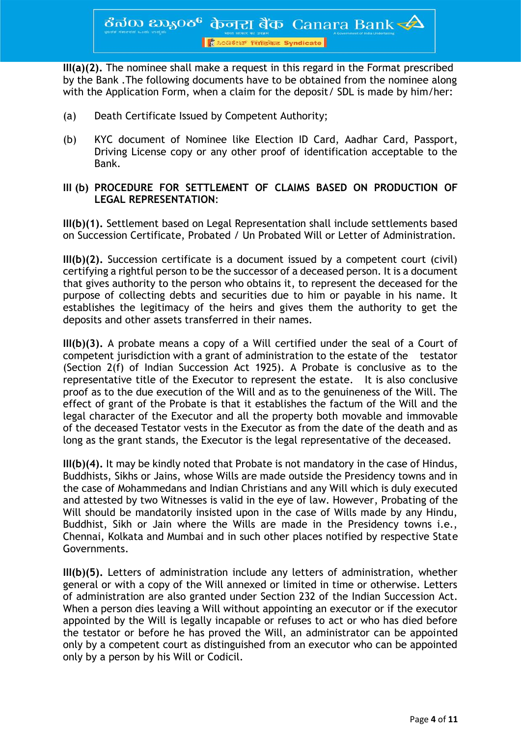<mark>। ਇੰ ಸಿಂಡಿಕೇಟ್ सिंडिकेट Syndicate</mark>

**III(a)(2).** The nominee shall make a request in this regard in the Format prescribed by the Bank .The following documents have to be obtained from the nominee along with the Application Form, when a claim for the deposit / SDL is made by him/her:

- (a) Death Certificate Issued by Competent Authority;
- (b) KYC document of Nominee like Election ID Card, Aadhar Card, Passport, Driving License copy or any other proof of identification acceptable to the Bank.

#### **III (b) PROCEDURE FOR SETTLEMENT OF CLAIMS BASED ON PRODUCTION OF LEGAL REPRESENTATION**:

**III(b)(1).** Settlement based on Legal Representation shall include settlements based on Succession Certificate, Probated / Un Probated Will or Letter of Administration.

**III(b)(2).** Succession certificate is a document issued by a competent court (civil) certifying a rightful person to be the successor of a deceased person. It is a document that gives authority to the person who obtains it, to represent the deceased for the purpose of collecting debts and securities due to him or payable in his name. It establishes the legitimacy of the heirs and gives them the authority to get the deposits and other assets transferred in their names.

**III(b)(3).** A probate means a copy of a Will certified under the seal of a Court of competent jurisdiction with a grant of administration to the estate of the testator (Section 2(f) of Indian Succession Act 1925). A Probate is conclusive as to the representative title of the Executor to represent the estate. It is also conclusive proof as to the due execution of the Will and as to the genuineness of the Will. The effect of grant of the Probate is that it establishes the factum of the Will and the legal character of the Executor and all the property both movable and immovable of the deceased Testator vests in the Executor as from the date of the death and as long as the grant stands, the Executor is the legal representative of the deceased.

**III(b)(4).** It may be kindly noted that Probate is not mandatory in the case of Hindus, Buddhists, Sikhs or Jains, whose Wills are made outside the Presidency towns and in the case of Mohammedans and Indian Christians and any Will which is duly executed and attested by two Witnesses is valid in the eye of law. However, Probating of the Will should be mandatorily insisted upon in the case of Wills made by any Hindu, Buddhist, Sikh or Jain where the Wills are made in the Presidency towns i.e., Chennai, Kolkata and Mumbai and in such other places notified by respective State Governments.

**III(b)(5).** Letters of administration include any letters of administration, whether general or with a copy of the Will annexed or limited in time or otherwise. Letters of administration are also granted under Section 232 of the Indian Succession Act. When a person dies leaving a Will without appointing an executor or if the executor appointed by the Will is legally incapable or refuses to act or who has died before the testator or before he has proved the Will, an administrator can be appointed only by a competent court as distinguished from an executor who can be appointed only by a person by his Will or Codicil.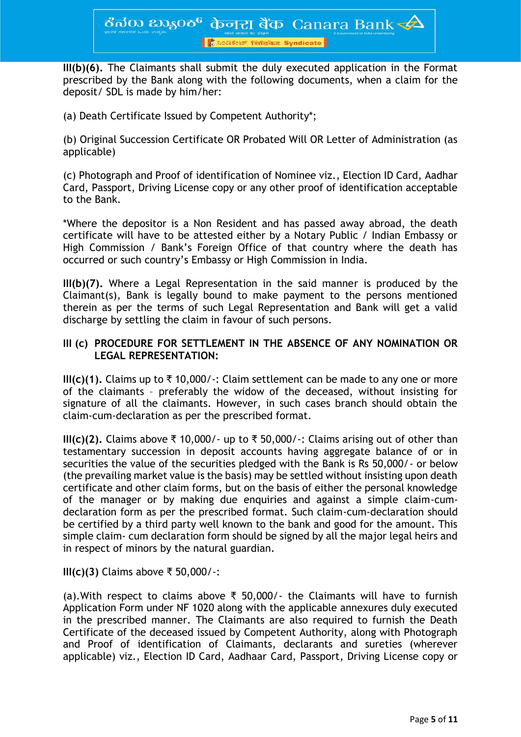**III(b)(6).** The Claimants shall submit the duly executed application in the Format prescribed by the Bank along with the following documents, when a claim for the deposit/ SDL is made by him/her:

(a) Death Certificate Issued by Competent Authority\*;

(b) Original Succession Certificate OR Probated Will OR Letter of Administration (as applicable)

(c) Photograph and Proof of identification of Nominee viz., Election ID Card, Aadhar Card, Passport, Driving License copy or any other proof of identification acceptable to the Bank.

\*Where the depositor is a Non Resident and has passed away abroad, the death certificate will have to be attested either by a Notary Public / Indian Embassy or High Commission / Bank's Foreign Office of that country where the death has occurred or such country's Embassy or High Commission in India.

**III(b)(7).** Where a Legal Representation in the said manner is produced by the Claimant(s), Bank is legally bound to make payment to the persons mentioned therein as per the terms of such Legal Representation and Bank will get a valid discharge by settling the claim in favour of such persons.

#### **III (c) PROCEDURE FOR SETTLEMENT IN THE ABSENCE OF ANY NOMINATION OR LEGAL REPRESENTATION:**

**III(c)(1).** Claims up to ₹10,000/ $\cdot$ : Claim settlement can be made to any one or more of the claimants – preferably the widow of the deceased, without insisting for signature of all the claimants. However, in such cases branch should obtain the claim-cum-declaration as per the prescribed format.

**III(c)(2).** Claims above ₹ 10,000/- up to ₹ 50,000/-: Claims arising out of other than testamentary succession in deposit accounts having aggregate balance of or in securities the value of the securities pledged with the Bank is Rs 50,000/- or below (the prevailing market value is the basis) may be settled without insisting upon death certificate and other claim forms, but on the basis of either the personal knowledge of the manager or by making due enquiries and against a simple claim-cumdeclaration form as per the prescribed format. Such claim-cum-declaration should be certified by a third party well known to the bank and good for the amount. This simple claim- cum declaration form should be signed by all the major legal heirs and in respect of minors by the natural guardian.

**III(c)(3)** Claims above ₹ 50,000/-:

(a). With respect to claims above ₹ 50,000/- the Claimants will have to furnish Application Form under NF 1020 along with the applicable annexures duly executed in the prescribed manner. The Claimants are also required to furnish the Death Certificate of the deceased issued by Competent Authority, along with Photograph and Proof of identification of Claimants, declarants and sureties (wherever applicable) viz., Election ID Card, Aadhaar Card, Passport, Driving License copy or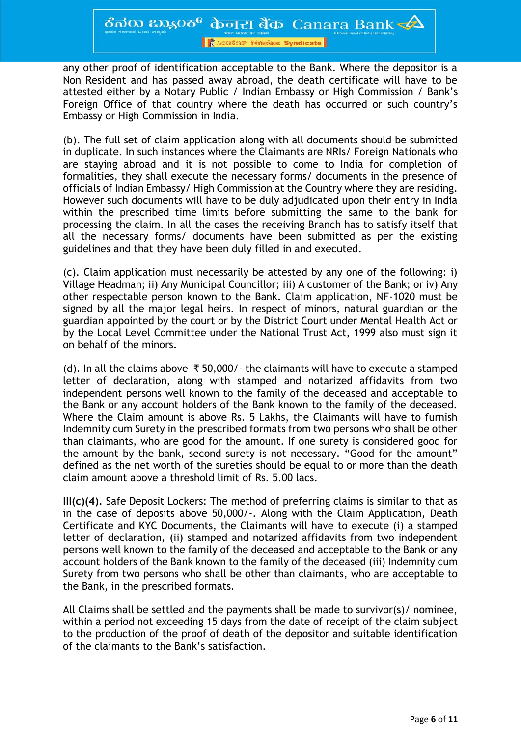ठैत $\overline{a}$ ळ  $\overline{a}$ ळ $\overline{b}$   $\overline{b}$   $\overline{d}$   $\overline{d}$   $\overline{d}$   $\overline{b}$   $\overline{c}$   $\overline{c}$   $\overline{c}$   $\overline{d}$   $\overline{b}$   $\overline{c}$   $\overline{d}$   $\overline{d}$   $\overline{c}$   $\overline{c}$   $\overline{c}$   $\overline{c}$   $\overline{c}$   $\overline{c}$   $\overline{c}$   $\overline{c}$ 

<mark>। ਇੰ ಸಿಂಡಿಕೇಟ್ सिंडिकेट Syndicate</mark>

any other proof of identification acceptable to the Bank. Where the depositor is a Non Resident and has passed away abroad, the death certificate will have to be attested either by a Notary Public / Indian Embassy or High Commission / Bank's Foreign Office of that country where the death has occurred or such country's Embassy or High Commission in India.

(b). The full set of claim application along with all documents should be submitted in duplicate. In such instances where the Claimants are NRIs/ Foreign Nationals who are staying abroad and it is not possible to come to India for completion of formalities, they shall execute the necessary forms/ documents in the presence of officials of Indian Embassy/ High Commission at the Country where they are residing. However such documents will have to be duly adjudicated upon their entry in India within the prescribed time limits before submitting the same to the bank for processing the claim. In all the cases the receiving Branch has to satisfy itself that all the necessary forms/ documents have been submitted as per the existing guidelines and that they have been duly filled in and executed.

(c). Claim application must necessarily be attested by any one of the following: i) Village Headman; ii) Any Municipal Councillor; iii) A customer of the Bank; or iv) Any other respectable person known to the Bank. Claim application, NF-1020 must be signed by all the major legal heirs. In respect of minors, natural guardian or the guardian appointed by the court or by the District Court under Mental Health Act or by the Local Level Committee under the National Trust Act, 1999 also must sign it on behalf of the minors.

(d). In all the claims above  $\bar{\tau}$  50,000/- the claimants will have to execute a stamped letter of declaration, along with stamped and notarized affidavits from two independent persons well known to the family of the deceased and acceptable to the Bank or any account holders of the Bank known to the family of the deceased. Where the Claim amount is above Rs. 5 Lakhs, the Claimants will have to furnish Indemnity cum Surety in the prescribed formats from two persons who shall be other than claimants, who are good for the amount. If one surety is considered good for the amount by the bank, second surety is not necessary. "Good for the amount" defined as the net worth of the sureties should be equal to or more than the death claim amount above a threshold limit of Rs. 5.00 lacs.

**III(c)(4).** Safe Deposit Lockers: The method of preferring claims is similar to that as in the case of deposits above 50,000/-. Along with the Claim Application, Death Certificate and KYC Documents, the Claimants will have to execute (i) a stamped letter of declaration, (ii) stamped and notarized affidavits from two independent persons well known to the family of the deceased and acceptable to the Bank or any account holders of the Bank known to the family of the deceased (iii) Indemnity cum Surety from two persons who shall be other than claimants, who are acceptable to the Bank, in the prescribed formats.

All Claims shall be settled and the payments shall be made to survivor(s)/ nominee, within a period not exceeding 15 days from the date of receipt of the claim subject to the production of the proof of death of the depositor and suitable identification of the claimants to the Bank's satisfaction.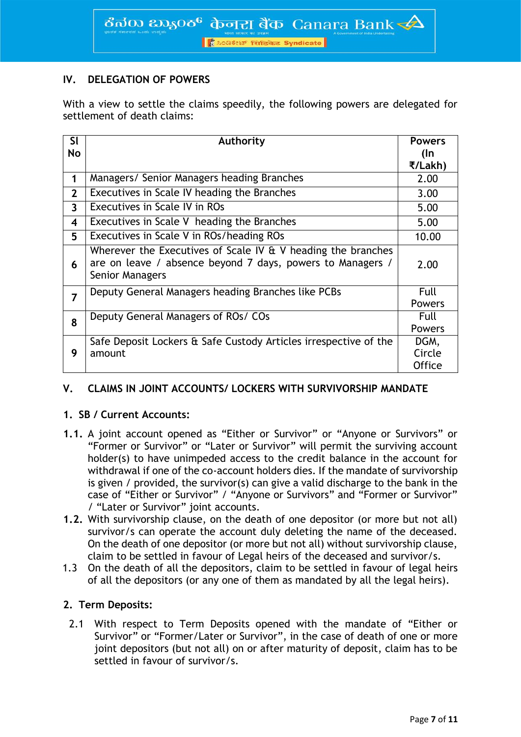#### **IV. DELEGATION OF POWERS**

With a view to settle the claims speedily, the following powers are delegated for settlement of death claims:

| <b>SI</b>               | <b>Authority</b>                                                                                                                                 | <b>Powers</b>                   |
|-------------------------|--------------------------------------------------------------------------------------------------------------------------------------------------|---------------------------------|
| No                      |                                                                                                                                                  | (In                             |
|                         |                                                                                                                                                  | ₹/Lakh)                         |
| 1                       | Managers/ Senior Managers heading Branches                                                                                                       | 2.00                            |
| $\overline{2}$          | Executives in Scale IV heading the Branches                                                                                                      | 3.00                            |
| $\overline{\mathbf{3}}$ | Executives in Scale IV in ROs                                                                                                                    | 5.00                            |
| $\overline{\mathbf{4}}$ | Executives in Scale V heading the Branches                                                                                                       | 5.00                            |
| 5                       | Executives in Scale V in ROs/heading ROs                                                                                                         | 10.00                           |
| 6                       | Wherever the Executives of Scale IV $\&$ V heading the branches<br>are on leave / absence beyond 7 days, powers to Managers /<br>Senior Managers | 2.00                            |
| 7                       | Deputy General Managers heading Branches like PCBs                                                                                               | Full<br><b>Powers</b>           |
| 8                       | Deputy General Managers of ROs/ COs                                                                                                              | Full<br><b>Powers</b>           |
| 9                       | Safe Deposit Lockers & Safe Custody Articles irrespective of the<br>amount                                                                       | DGM,<br>Circle<br><b>Office</b> |

#### **V. CLAIMS IN JOINT ACCOUNTS/ LOCKERS WITH SURVIVORSHIP MANDATE**

#### **1. SB / Current Accounts:**

- **1.1.** A joint account opened as "Either or Survivor" or "Anyone or Survivors" or "Former or Survivor" or "Later or Survivor" will permit the surviving account holder(s) to have unimpeded access to the credit balance in the account for withdrawal if one of the co-account holders dies. If the mandate of survivorship is given / provided, the survivor(s) can give a valid discharge to the bank in the case of "Either or Survivor" / "Anyone or Survivors" and "Former or Survivor" / "Later or Survivor" joint accounts.
- **1.2.** With survivorship clause, on the death of one depositor (or more but not all) survivor/s can operate the account duly deleting the name of the deceased. On the death of one depositor (or more but not all) without survivorship clause, claim to be settled in favour of Legal heirs of the deceased and survivor/s.
- 1.3 On the death of all the depositors, claim to be settled in favour of legal heirs of all the depositors (or any one of them as mandated by all the legal heirs).

#### **2. Term Deposits:**

2.1 With respect to Term Deposits opened with the mandate of "Either or Survivor" or "Former/Later or Survivor", in the case of death of one or more joint depositors (but not all) on or after maturity of deposit, claim has to be settled in favour of survivor/s.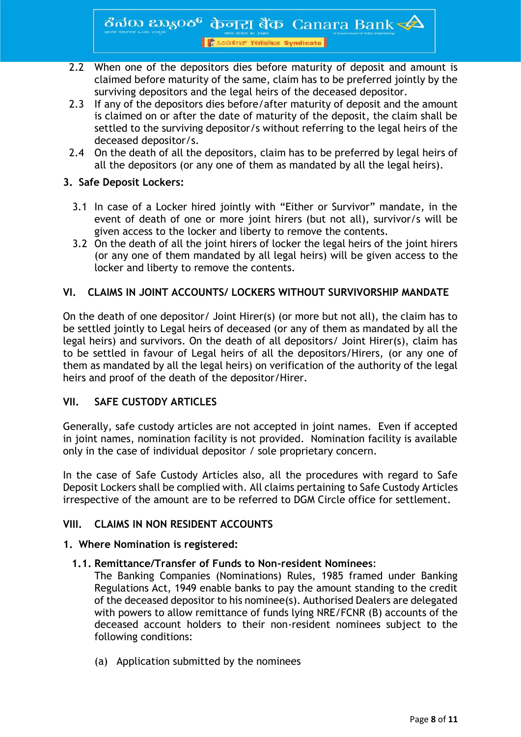ठैनॅक  $\infty$ इ $\infty$ ठ $^6$  केनरा बैंक Canara Bank $\blacktriangleleft$ 

<mark>। हैं ೩० दर्शस्थ सिंडिकेट Syndicate</mark>

- 2.2 When one of the depositors dies before maturity of deposit and amount is claimed before maturity of the same, claim has to be preferred jointly by the surviving depositors and the legal heirs of the deceased depositor.
- 2.3 If any of the depositors dies before/after maturity of deposit and the amount is claimed on or after the date of maturity of the deposit, the claim shall be settled to the surviving depositor/s without referring to the legal heirs of the deceased depositor/s.
- 2.4 On the death of all the depositors, claim has to be preferred by legal heirs of all the depositors (or any one of them as mandated by all the legal heirs).

#### **3. Safe Deposit Lockers:**

- 3.1 In case of a Locker hired jointly with "Either or Survivor" mandate, in the event of death of one or more joint hirers (but not all), survivor/s will be given access to the locker and liberty to remove the contents.
- 3.2 On the death of all the joint hirers of locker the legal heirs of the joint hirers (or any one of them mandated by all legal heirs) will be given access to the locker and liberty to remove the contents.

#### **VI. CLAIMS IN JOINT ACCOUNTS/ LOCKERS WITHOUT SURVIVORSHIP MANDATE**

On the death of one depositor/ Joint Hirer(s) (or more but not all), the claim has to be settled jointly to Legal heirs of deceased (or any of them as mandated by all the legal heirs) and survivors. On the death of all depositors/ Joint Hirer(s), claim has to be settled in favour of Legal heirs of all the depositors/Hirers, (or any one of them as mandated by all the legal heirs) on verification of the authority of the legal heirs and proof of the death of the depositor/Hirer.

#### **VII. SAFE CUSTODY ARTICLES**

Generally, safe custody articles are not accepted in joint names. Even if accepted in joint names, nomination facility is not provided. Nomination facility is available only in the case of individual depositor / sole proprietary concern.

In the case of Safe Custody Articles also, all the procedures with regard to Safe Deposit Lockers shall be complied with. All claims pertaining to Safe Custody Articles irrespective of the amount are to be referred to DGM Circle office for settlement.

#### **VIII. CLAIMS IN NON RESIDENT ACCOUNTS**

#### **1. Where Nomination is registered:**

#### **1.1. Remittance/Transfer of Funds to Non-resident Nominees**:

The Banking Companies (Nominations) Rules, 1985 framed under Banking Regulations Act, 1949 enable banks to pay the amount standing to the credit of the deceased depositor to his nominee(s). Authorised Dealers are delegated with powers to allow remittance of funds lying NRE/FCNR (B) accounts of the deceased account holders to their non-resident nominees subject to the following conditions:

(a) Application submitted by the nominees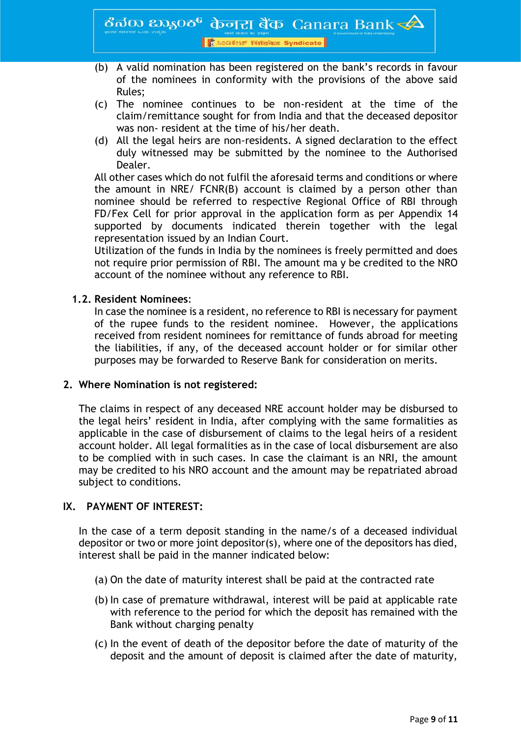- (b) A valid nomination has been registered on the bank's records in favour of the nominees in conformity with the provisions of the above said Rules;
- (c) The nominee continues to be non-resident at the time of the claim/remittance sought for from India and that the deceased depositor was non- resident at the time of his/her death.
- (d) All the legal heirs are non-residents. A signed declaration to the effect duly witnessed may be submitted by the nominee to the Authorised Dealer.

All other cases which do not fulfil the aforesaid terms and conditions or where the amount in NRE/ FCNR(B) account is claimed by a person other than nominee should be referred to respective Regional Office of RBI through FD/Fex Cell for prior approval in the application form as per Appendix 14 supported by documents indicated therein together with the legal representation issued by an Indian Court.

Utilization of the funds in India by the nominees is freely permitted and does not require prior permission of RBI. The amount ma y be credited to the NRO account of the nominee without any reference to RBI.

#### **1.2. Resident Nominees**:

In case the nominee is a resident, no reference to RBI is necessary for payment of the rupee funds to the resident nominee. However, the applications received from resident nominees for remittance of funds abroad for meeting the liabilities, if any, of the deceased account holder or for similar other purposes may be forwarded to Reserve Bank for consideration on merits.

#### **2. Where Nomination is not registered:**

The claims in respect of any deceased NRE account holder may be disbursed to the legal heirs' resident in India, after complying with the same formalities as applicable in the case of disbursement of claims to the legal heirs of a resident account holder. All legal formalities as in the case of local disbursement are also to be complied with in such cases. In case the claimant is an NRI, the amount may be credited to his NRO account and the amount may be repatriated abroad subject to conditions.

#### **IX. PAYMENT OF INTEREST:**

In the case of a term deposit standing in the name/s of a deceased individual depositor or two or more joint depositor(s), where one of the depositors has died, interest shall be paid in the manner indicated below:

- (a) On the date of maturity interest shall be paid at the contracted rate
- (b) In case of premature withdrawal, interest will be paid at applicable rate with reference to the period for which the deposit has remained with the Bank without charging penalty
- (c) In the event of death of the depositor before the date of maturity of the deposit and the amount of deposit is claimed after the date of maturity,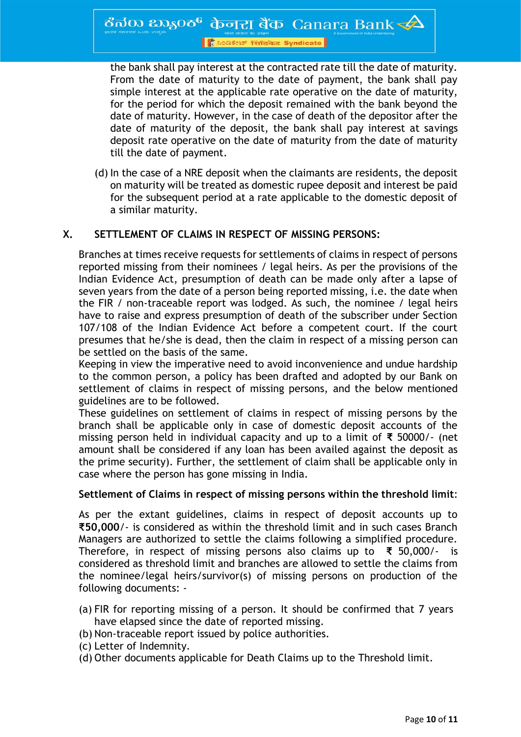<mark>।</mark> *L*acateur सिंडिकेट Syndicate

the bank shall pay interest at the contracted rate till the date of maturity. From the date of maturity to the date of payment, the bank shall pay simple interest at the applicable rate operative on the date of maturity, for the period for which the deposit remained with the bank beyond the date of maturity. However, in the case of death of the depositor after the date of maturity of the deposit, the bank shall pay interest at savings deposit rate operative on the date of maturity from the date of maturity till the date of payment.

(d) In the case of a NRE deposit when the claimants are residents, the deposit on maturity will be treated as domestic rupee deposit and interest be paid for the subsequent period at a rate applicable to the domestic deposit of a similar maturity.

#### **X. SETTLEMENT OF CLAIMS IN RESPECT OF MISSING PERSONS:**

Branches at times receive requests for settlements of claims in respect of persons reported missing from their nominees / legal heirs. As per the provisions of the Indian Evidence Act, presumption of death can be made only after a lapse of seven years from the date of a person being reported missing, i.e. the date when the FIR / non-traceable report was lodged. As such, the nominee / legal heirs have to raise and express presumption of death of the subscriber under Section 107/108 of the Indian Evidence Act before a competent court. If the court presumes that he/she is dead, then the claim in respect of a missing person can be settled on the basis of the same.

Keeping in view the imperative need to avoid inconvenience and undue hardship to the common person, a policy has been drafted and adopted by our Bank on settlement of claims in respect of missing persons, and the below mentioned guidelines are to be followed.

These guidelines on settlement of claims in respect of missing persons by the branch shall be applicable only in case of domestic deposit accounts of the missing person held in individual capacity and up to a limit of **₹** 50000/- (net amount shall be considered if any loan has been availed against the deposit as the prime security). Further, the settlement of claim shall be applicable only in case where the person has gone missing in India.

#### **Settlement of Claims in respect of missing persons within the threshold limit**:

As per the extant guidelines, claims in respect of deposit accounts up to **₹50,000**/- is considered as within the threshold limit and in such cases Branch Managers are authorized to settle the claims following a simplified procedure. Therefore, in respect of missing persons also claims up to **₹** 50,000/- is considered as threshold limit and branches are allowed to settle the claims from the nominee/legal heirs/survivor(s) of missing persons on production of the following documents: -

- (a) FIR for reporting missing of a person. It should be confirmed that 7 years have elapsed since the date of reported missing.
- (b) Non-traceable report issued by police authorities.
- (c) Letter of Indemnity.
- (d) Other documents applicable for Death Claims up to the Threshold limit.